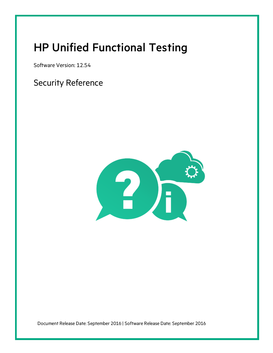# <span id="page-0-0"></span>HP Unified Functional Testing

Software Version: 12.54

Security Reference



Document Release Date: September 2016 | Software Release Date: September 2016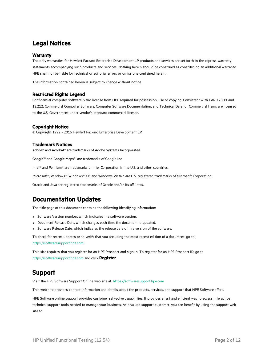### Legal Notices

#### **Warranty**

The only warranties for Hewlett Packard Enterprise Development LP products and services are set forth in the express warranty statements accompanying such products and services. Nothing herein should be construed as constituting an additional warranty. HPE shall not be liable for technical or editorial errors or omissions contained herein.

The information contained herein is subject to change without notice.

#### Restricted Rights Legend

Confidential computer software. Valid license from HPE required for possession, use or copying. Consistent with FAR 12.211 and 12.212, Commercial Computer Software, Computer Software Documentation, and Technical Data for Commercial Items are licensed to the U.S. Government under vendor's standard commercial license.

### Copyright Notice

© Copyright 1992 - 2016 Hewlett Packard Enterprise Development LP

### Trademark Notices

Adobe® and Acrobat® are trademarks of Adobe Systems Incorporated.

Google™ and Google Maps™ are trademarks of Google Inc

Intel<sup>®</sup> and Pentium<sup>®</sup> are trademarks of Intel Corporation in the U.S. and other countries.

Microsoft®, Windows®, Windows® XP, and Windows Vista ® are U.S. registered trademarks of Microsoft Corporation.

Oracle and Java are registered trademarks of Oracle and/or its affiliates.

### Documentation Updates

The title page of this document contains the following identifying information:

- Software Version number, which indicates the software version.
- Document Release Date, which changes each time the document is updated.
- Software Release Date, which indicates the release date of this version of the software.

To check for recent updates or to verify that you are using the most recent edition of a document, go to: [https://softwaresupport.hpe.com.](https://softwaresupport.hpe.com/)

This site requires that you register for an HPE Passport and sign in. To register for an HPE Passport ID, go to [https://softwaresupport.hpe.com](https://softwaresupport.hpe.com/) and click **Register**.

### Support

Visit the HPE Software Support Online web site at: [https://softwaresupport.hpe.com](https://softwaresupport.hpe.com/)

This web site provides contact information and details about the products, services, and support that HPE Software offers.

HPE Software online support provides customer self-solve capabilities. It provides a fast and efficient way to access interactive technical support tools needed to manage your business. As a valued support customer, you can benefit by using the support web site to: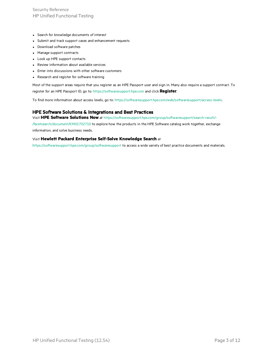Security Reference HP Unified Functional Testing

- Search for knowledge documents of interest
- Submit and track support cases and enhancement requests
- Download software patches
- Manage support contracts
- Look up HPE support contacts
- Review information about available services
- Enter into discussions with other software customers
- Research and register for software training

Most of the support areas require that you register as an HPE Passport user and sign in. Many also require a support contract. To register for an HPE Passport ID, go to: [https://softwaresupport.hpe.com](https://softwaresupport.hpe.com/) and click **Register**.

To find more information about access levels, go to: <https://softwaresupport.hpe.com/web/softwaresupport/access-levels>.

#### HPE Software Solutions & Integrations and Best Practices

Visit **HPE Software Solutions Now** at [https://softwaresupport.hpe.com/group/softwaresupport/search-result/-](https://softwaresupport.hpe.com/group/softwaresupport/search-result/-/facetsearch/document/KM01702710)

[/facetsearch/document/KM01702710](https://softwaresupport.hpe.com/group/softwaresupport/search-result/-/facetsearch/document/KM01702710) to explore how the products in the HPE Software catalog work together, exchange information, and solve business needs.

#### Visit **Hewlett Packard Enterprise Self-Solve Knowledge Search** at

[https://softwaresupport.hpe.com/group/softwaresupport](https://softwaresupport.hpe.com/group/softwaresupport/) to access a wide variety of best practice documents and materials.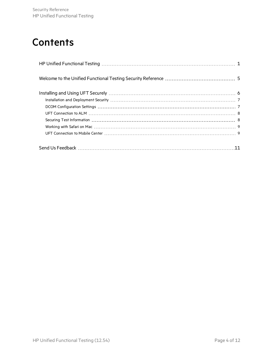# **Contents**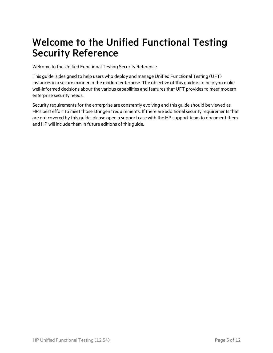# <span id="page-4-0"></span>Welcome to the Unified Functional Testing Security Reference

Welcome to the Unified Functional Testing Security Reference.

This guide is designed to help users who deploy and manage Unified Functional Testing (UFT) instances in a secure manner in the modern enterprise. The objective of this guide is to help you make well-informed decisions about the various capabilities and features that UFT provides to meet modern enterprise security needs.

Security requirements for the enterprise are constantly evolving and this guide should be viewed as HP's best effort to meet those stringent requirements. If there are additional security requirements that are not covered by this guide, please open a support case with the HP support team to document them and HP will include them in future editions of this guide.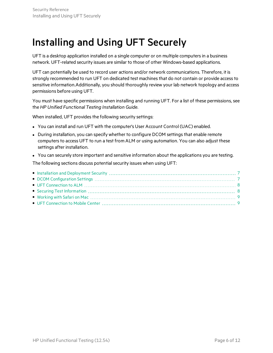# <span id="page-5-0"></span>Installing and Using UFT Securely

UFT is a desktop application installed on a single computer or on multiple computers in a business network. UFT-related security issues are similar to those of other Windows-based applications.

UFT can potentially be used to record user actions and/or network communications. Therefore, it is strongly recommended to run UFT on dedicated test machines that do not contain or provide access to sensitive information.Additionally, you should thoroughly review your lab network topology and access permissions before using UFT.

You must have specific permissions when installing and running UFT. For a list of these permissions, see the *HP Unified Functional Testing Installation Guide*.

When installed, UFT provides the following security settings:

- You can install and run UFT with the computer's User Account Control (UAC) enabled.
- During installation, you can specify whether to configure DCOM settings that enable remote computers to access UFT to run a test from ALM or using automation. You can also adjust these settings after installation.
- You can securely store important and sensitive information about the applications you are testing.

The following sections discuss potential security issues when using UFT: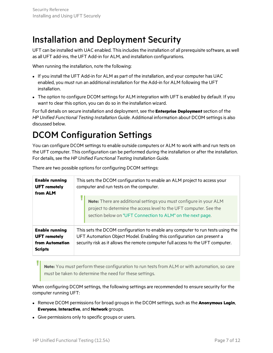### <span id="page-6-0"></span>Installation and Deployment Security

UFT can be installed with UAC enabled. This includes the installation of all prerequisite software, as well as all UFT add-ins, the UFT Add-in for ALM, and installation configurations.

When running the installation, note the following:

- If you install the UFT Add-in for ALM as part of the installation, and your computer has UAC enabled, you must run an additional installation for the Add-in for ALM following the UFT installation.
- The option to configure DCOM settings for ALM integration with UFT is enabled by default. If you want to clear this option, you can do so in the installation wizard.

For full details on secure installation and deployment, see the **Enterprise Deployment**section of the *HP Unified Functional Testing Installation Guide*. Additional information about DCOM settingsis also discussed below.

## <span id="page-6-1"></span>DCOM Configuration Settings

You can configure DCOM settings to enable outside computers or ALM to work with and run tests on the UFT computer. This configuration can be performed during the installation or after the installation. For details, see the *HP Unified Functional Testing Installation Guide*.

| <b>Enable running</b><br><b>UFT</b> remotely<br>from ALM                          | This sets the DCOM configuration to enable an ALM project to access your<br>computer and run tests on the computer.                                                                                                                         |
|-----------------------------------------------------------------------------------|---------------------------------------------------------------------------------------------------------------------------------------------------------------------------------------------------------------------------------------------|
|                                                                                   | Note: There are additional settings you must configure in your ALM<br>project to determine the access level to the UFT computer. See the<br>section below on "UFT Connection to ALM" on the next page.                                      |
| <b>Enable running</b><br><b>UFT</b> remotely<br>from Automation<br><b>Scripts</b> | This sets the DCOM configuration to enable any computer to run tests using the<br>UFT Automation Object Model. Enabling this configuration can present a<br>security risk as it allows the remote computer full access to the UFT computer. |

There are two possible options for configuring DCOM settings:

**Note:** You must perform these configuration to run testsfrom ALM or with automation, so care must be taken to determine the need for these settings.

When configuring DCOM settings, the following settings are recommended to ensure security for the computer running UFT:

- <sup>l</sup> Remove DCOM permissionsfor broad groupsin the DCOM settings, such asthe **Anonymous Login**, **Everyone**, **Interactive**, and **Network** groups.
- Give permissions only to specific groups or users.

I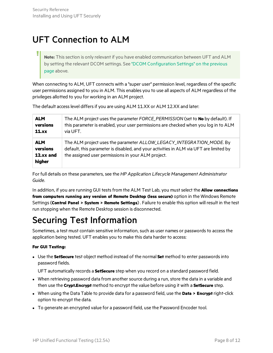## <span id="page-7-0"></span>UFT Connection to ALM

**Note:** Thissection is only relevant if you have enabled communication between UFT and ALM by setting the relevant DCOM settings. See "DCOM [Configuration](#page-6-1) Settings" on the previous [page](#page-6-1) above.

When connecting to ALM, UFT connects with a "super user" permission level, regardless of the specific user permissions assigned to you in ALM. This enables you to use all aspects of ALM regardless of the privileges allotted to you for working in an ALM project.

The default access level differs if you are using ALM 11.XX or ALM 12.XX and later:

| <b>ALM</b>                                    | The ALM project uses the parameter FORCE_PERMISSION (set to No by default). If                                                                                                                                       |
|-----------------------------------------------|----------------------------------------------------------------------------------------------------------------------------------------------------------------------------------------------------------------------|
| versions                                      | this parameter is enabled, your user permissions are checked when you log in to ALM                                                                                                                                  |
| 11.xx                                         | via UFT.                                                                                                                                                                                                             |
| <b>ALM</b><br>versions<br>12.xx and<br>higher | The ALM project uses the parameter ALLOW_LEGACY_INTEGRATION_MODE. By<br>default, this parameter is disabled, and your activities in ALM via UFT are limited by<br>the assigned user permissions in your ALM project. |

For full details on these parameters, see the *HP Application Lifecycle Management Administrator Guide*.

In addition, if you are running GUI testsfrom the ALM Test Lab, you mustselect the **Allow connections from computers running any version of Remote Desktop (less secure)** option in the Windows Remote Settings(**Control Panel > System > Remote Settings**) . Failure to enable this option will result in the test run stopping when the Remote Desktop session is disconnected.

# <span id="page-7-1"></span>Securing Test Information

Sometimes, a test must contain sensitive information, such as user names or passwords to access the application being tested. UFT enables you to make this data harder to access:

### **For GUI Testing:**

**.** Use the **SetSecure** test object method instead of the normal **Set** method to enter passwords into password fields.

UFT automatically records a **SetSecure** step when you record on a standard password field.

- When retrieving password data from another source during a run, store the data in a variable and then use the **Crypt.Encrypt** method to encrypt the value before using it with a **SetSecure** step.
- <sup>l</sup> When using the Data Table to provide data for a password field, use the **Data > Encrypt** right-click option to encrypt the data.
- To generate an encrypted value for a password field, use the Password Encoder tool.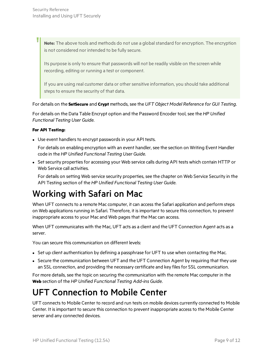**Note:** The above tools and methods do not use a globalstandard for encryption. The encryption is not considered nor intended to be fully secure.

Its purpose is only to ensure that passwords will not be readily visible on the screen while recording, editing or running a test or component.

If you are using real customer data or other sensitive information, you should take additional steps to ensure the security of that data.

For details on the **SetSecure** and **Crypt** methods, see the *UFT Object Model Reference for GUI Testing*.

For details on the Data Table Encrypt option and the Password Encoder tool, see the *HP Unified Functional Testing User Guide*.

### **For API Testing:**

• Use event handlers to encrypt passwords in your API tests.

For details on enabling encryption with an event handler, see the section on Writing Event Handler code in the *HP Unified Functional Testing User Guide*.

• Set security properties for accessing your Web service calls during API tests which contain HTTP or Web Service call activities.

For details on setting Web service security properties, see the chapter on Web Service Security in the API Testing section of the *HP Unified Functional Testing User Guide*.

### <span id="page-8-0"></span>Working with Safari on Mac

When UFT connects to a remote Mac computer, it can access the Safari application and perform steps on Web applications running in Safari. Therefore, it is important to secure this connection, to prevent inappropriate access to your Mac and Web pages that the Mac can access.

When UFT communicates with the Mac, UFT acts as a client and the UFT Connection Agent acts as a server.

You can secure this communication on different levels:

- Set up client authentication by defining a passphrase for UFT to use when contacting the Mac.
- Secure the communication between UFT and the UFT Connection Agent by requiring that they use an SSL connection, and providing the necessary certificate and key files for SSL communication.

For more details, see the topic on securing the communication with the remote Mac computer in the **Web** section of the *HP Unified Functional Testing Add-ins Guide*.

## <span id="page-8-1"></span>UFT Connection to Mobile Center

UFT connects to Mobile Center to record and run tests on mobile devices currently connected to Mobile Center. It isimportant to secure this connection to prevent inappropriate accessto the Mobile Center server and any connected devices.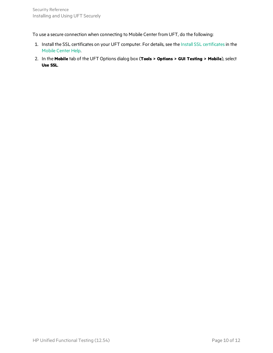To use a secure connection when connecting to Mobile Center from UFT, do the following:

- 1. Install the SSL certificates on your UFT computer. For details, see the Install SSL [certificates](http://mobilecenter.hpe.com/docs/en/2.01/Default.htm#cshid=UFT_SSL)in the Mobile [Center](http://mobilecenter.hpe.com/docs/en/2.01/) Help.
- 2. In the **Mobile** tab of the UFT Options dialog box (**Tools > Options > GUI Testing > Mobile**), select **Use SSL**.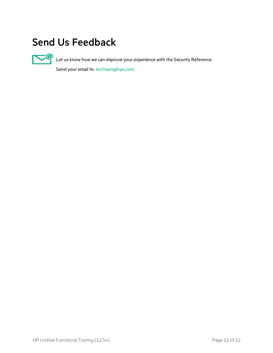# <span id="page-10-0"></span>Send Us Feedback



Let us know how we can improve your experience with the Security Reference.

Send your email to: [docteam@hpe.com](mailto:docteam@hpe.com?subject=Feedback on Security Reference (Unified Functional Testing 12.54))